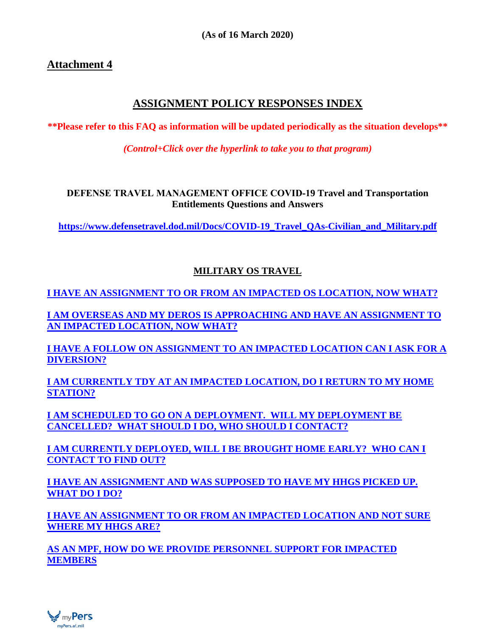# **Attachment 4**

# **ASSIGNMENT POLICY RESPONSES INDEX**

**\*\*Please refer to this FAQ as information will be updated periodically as the situation develops\*\***

*(Control+Click over the hyperlink to take you to that program)*

**DEFENSE TRAVEL MANAGEMENT OFFICE COVID‐19 Travel and Transportation Entitlements Questions and Answers**

**[https://www.defensetravel.dod.mil/Docs/COVID-19\\_Travel\\_QAs-Civilian\\_and\\_Military.pdf](https://www.defensetravel.dod.mil/Docs/COVID-19_Travel_QAs-Civilian_and_Military.pdf)**

# **MILITARY OS TRAVEL**

**[I HAVE AN ASSIGNMENT TO OR FROM AN IMPACTED OS LOCATION, NOW WHAT?](#page-1-0)**

**I AM OVERSEAS AND [MY DEROS IS APPROACHING AND HAVE AN ASSIGNMENT TO](#page-3-0)  [AN IMPACTED LOCATION, NOW WHAT?](#page-3-0)**

**[I HAVE A FOLLOW ON ASSIGNMENT TO](#page-3-1) AN IMPACTED LOCATION CAN I ASK FOR A [DIVERSION?](#page-3-1)**

**[I AM CURRENTLY TDY AT AN IMPACTED LOCATION, DO I RETURN TO MY HOME](#page-3-2)  [STATION?](#page-3-2)**

**[I AM SCHEDULED TO GO ON A DEPLOYMENT. WILL MY DEPLOYMENT BE](#page-4-0)  [CANCELLED? WHAT SHOULD I DO, WHO SHOULD I CONTACT?](#page-4-0)**

**[I AM CURRENTLY DEPLOYED, WILL I BE BROUGHT HOME EARLY? WHO CAN I](#page-4-1)  [CONTACT TO FIND OUT?](#page-4-1)**

**[I HAVE AN ASSIGNMENT AND WAS SUPPOSED TO HAVE MY HHGS PICKED UP.](#page-6-0)  [WHAT DO I DO?](#page-6-0)**

**[I HAVE AN ASSIGNMENT TO OR FROM AN IMPACTED LOCATION AND NOT SURE](#page-6-1)  [WHERE MY HHGS ARE?](#page-6-1)**

**[AS AN MPF, HOW DO WE PROVIDE PERSONNEL SUPPORT FOR IMPACTED](#page-6-2)  [MEMBERS](#page-6-2)**

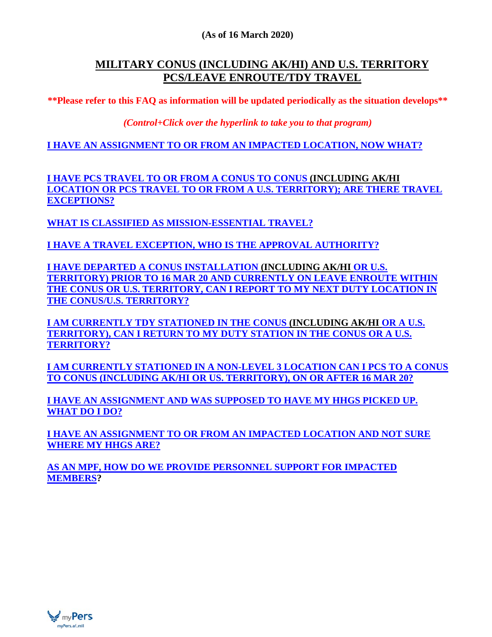#### **(As of 16 March 2020)**

# **MILITARY CONUS (INCLUDING AK/HI) AND U.S. TERRITORY PCS/LEAVE ENROUTE/TDY TRAVEL**

**\*\*Please refer to this FAQ as information will be updated periodically as the situation develops\*\***

*(Control+Click over the hyperlink to take you to that program)*

**I HAVE AN ASSIGNMENT [TO OR FROM AN IMPACTED LOCATION, NOW WHAT?](#page-5-0)**

**I HAVE PCS TRAVEL TO OR FROM A [CONUS TO CONUS \(INCLUDING AK/HI](#page-5-1)  [LOCATION OR PCS TRAVEL TO OR FROM A U.S. TERRITORY\); ARE THERE TRAVEL](#page-5-1)  [EXCEPTIONS?](#page-5-1)**

**WHAT IS CLASSIFIED AS [MISSION-ESSENTIAL TRAVEL?](#page-5-2)**

**[I HAVE A TRAVEL EXCEPTION, WHO IS THE APPROVAL AUTHORITY?](#page-5-3)**

**[I HAVE DEPARTED A CONUS INSTALLATION](#page-5-4) (INCLUDING AK/HI OR U.S. TERRITORY) [PRIOR TO 16 MAR 20 AND CURRENTLY ON LEAVE ENROUTE WITHIN](#page-5-4)  [THE CONUS OR U.S. TERRITORY, CAN I REPORT TO MY NEXT DUTY LOCATION IN](#page-5-4)  [THE CONUS/U.S. TERRITORY?](#page-5-4)**

**[I AM CURRENTLY TDY STATIONED IN THE CONUS](#page-5-5) (INCLUDING AK/HI OR A U.S. [TERRITORY\), CAN I RETURN TO MY DUTY STATION IN THE CONUS OR A U.S.](#page-5-5)  [TERRITORY?](#page-5-5)**

**[I AM CURRENTLY STATIONED IN A NON-LEVEL 3 LOCATION CAN I PCS TO A CONUS](#page-6-3)  [TO CONUS \(INCLUDING AK/HI OR US. TERRITORY\), ON OR AFTER 16 MAR 20?](#page-6-3)**

**[I HAVE AN ASSIGNMENT AND WAS SUPPOSED TO HAVE MY HHGS PICKED UP.](#page-6-0)  [WHAT DO I DO?](#page-6-0)**

**[I HAVE AN ASSIGNMENT TO OR FROM AN IMPACTED LOCATION AND NOT SURE](#page-6-1)  [WHERE MY HHGS ARE?](#page-6-1)**

**[AS AN MPF, HOW DO WE PROVIDE PERSONNEL SUPPORT FOR IMPACTED](#page-6-2)  [MEMBERS?](#page-6-2)**

<span id="page-1-0"></span>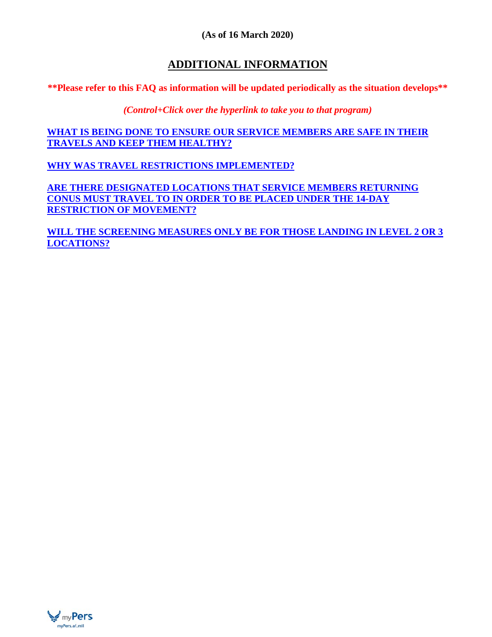#### **(As of 16 March 2020)**

# **ADDITIONAL INFORMATION**

**\*\*Please refer to this FAQ as information will be updated periodically as the situation develops\*\***

*(Control+Click over the hyperlink to take you to that program)*

**[WHAT IS BEING DONE TO ENSURE OUR SERVICE MEMBERS ARE SAFE IN THEIR](#page-6-4)  [TRAVELS AND KEEP THEM HEALTHY?](#page-6-4)**

**[WHY WAS TRAVEL RESTRICTIONS IMPLEMENTED?](#page-7-0)**

**[ARE THERE DESIGNATED LOCATIONS THAT SERVICE MEMBERS RETURNING](#page-7-1)  [CONUS MUST TRAVEL TO IN ORDER TO BE PLACED UNDER THE 14-DAY](#page-7-1)  [RESTRICTION OF MOVEMENT?](#page-7-1)**

**[WILL THE SCREENING MEASURES ONLY BE FOR THOSE LANDING IN LEVEL 2 OR 3](#page-7-2)  [LOCATIONS?](#page-7-2)**

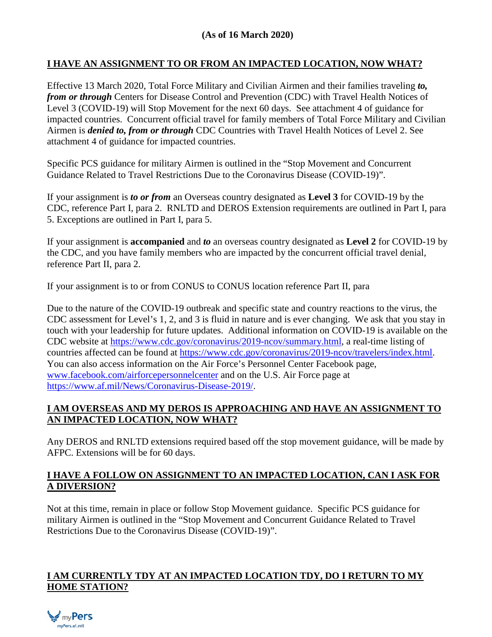#### **I HAVE AN ASSIGNMENT TO OR FROM AN IMPACTED LOCATION, NOW WHAT?**

Effective 13 March 2020, Total Force Military and Civilian Airmen and their families traveling *to, from or through* Centers for Disease Control and Prevention (CDC) with Travel Health Notices of Level 3 (COVID-19) will Stop Movement for the next 60 days. See attachment 4 of guidance for impacted countries. Concurrent official travel for family members of Total Force Military and Civilian Airmen is *denied to, from or through* CDC Countries with Travel Health Notices of Level 2. See attachment 4 of guidance for impacted countries.

Specific PCS guidance for military Airmen is outlined in the "Stop Movement and Concurrent Guidance Related to Travel Restrictions Due to the Coronavirus Disease (COVID-19)".

If your assignment is *to or from* an Overseas country designated as **Level 3** for COVID-19 by the CDC, reference Part I, para 2. RNLTD and DEROS Extension requirements are outlined in Part I, para 5. Exceptions are outlined in Part I, para 5.

If your assignment is **accompanied** and *to* an overseas country designated as **Level 2** for COVID-19 by the CDC, and you have family members who are impacted by the concurrent official travel denial, reference Part II, para 2.

If your assignment is to or from CONUS to CONUS location reference Part II, para

Due to the nature of the COVID-19 outbreak and specific state and country reactions to the virus, the CDC assessment for Level's 1, 2, and 3 is fluid in nature and is ever changing. We ask that you stay in touch with your leadership for future updates. Additional information on COVID-19 is available on the CDC website at [https://www.cdc.gov/coronavirus/2019-ncov/summary.html,](https://www.cdc.gov/coronavirus/2019-ncov/summary.html) a real-time listing of countries affected can be found at [https://www.cdc.gov/coronavirus/2019-ncov/travelers/index.html.](https://www.cdc.gov/coronavirus/2019-ncov/travelers/index.html) You can also access information on the Air Force's Personnel Center Facebook page, [www.facebook.com/airforcepersonnelcenter](http://www.facebook.com/airforcepersonnelcenter) and on the U.S. Air Force page at [https://www.af.mil/News/Coronavirus-Disease-2019/.](https://www.af.mil/News/Coronavirus-Disease-2019/)

## <span id="page-3-0"></span>**I AM OVERSEAS AND MY DEROS IS APPROACHING AND HAVE AN ASSIGNMENT TO AN IMPACTED LOCATION, NOW WHAT?**

<span id="page-3-1"></span>Any DEROS and RNLTD extensions required based off the stop movement guidance, will be made by AFPC. Extensions will be for 60 days.

#### **I HAVE A FOLLOW ON ASSIGNMENT TO AN IMPACTED LOCATION, CAN I ASK FOR A DIVERSION?**

Not at this time, remain in place or follow Stop Movement guidance. Specific PCS guidance for military Airmen is outlined in the "Stop Movement and Concurrent Guidance Related to Travel Restrictions Due to the Coronavirus Disease (COVID-19)".

#### <span id="page-3-2"></span>**I AM CURRENTLY TDY AT AN IMPACTED LOCATION TDY, DO I RETURN TO MY HOME STATION?**

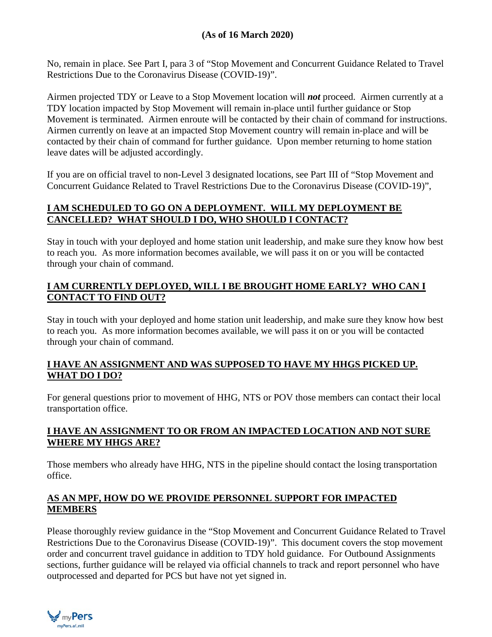No, remain in place. See Part I, para 3 of "Stop Movement and Concurrent Guidance Related to Travel Restrictions Due to the Coronavirus Disease (COVID-19)".

Airmen projected TDY or Leave to a Stop Movement location will *not* proceed. Airmen currently at a TDY location impacted by Stop Movement will remain in-place until further guidance or Stop Movement is terminated. Airmen enroute will be contacted by their chain of command for instructions. Airmen currently on leave at an impacted Stop Movement country will remain in-place and will be contacted by their chain of command for further guidance. Upon member returning to home station leave dates will be adjusted accordingly.

If you are on official travel to non-Level 3 designated locations, see Part III of "Stop Movement and Concurrent Guidance Related to Travel Restrictions Due to the Coronavirus Disease (COVID-19)",

## <span id="page-4-0"></span>**I AM SCHEDULED TO GO ON A DEPLOYMENT. WILL MY DEPLOYMENT BE CANCELLED? WHAT SHOULD I DO, WHO SHOULD I CONTACT?**

Stay in touch with your deployed and home station unit leadership, and make sure they know how best to reach you. As more information becomes available, we will pass it on or you will be contacted through your chain of command.

#### <span id="page-4-1"></span>**I AM CURRENTLY DEPLOYED, WILL I BE BROUGHT HOME EARLY? WHO CAN I CONTACT TO FIND OUT?**

Stay in touch with your deployed and home station unit leadership, and make sure they know how best to reach you. As more information becomes available, we will pass it on or you will be contacted through your chain of command.

#### **I HAVE AN ASSIGNMENT AND WAS SUPPOSED TO HAVE MY HHGS PICKED UP. WHAT DO I DO?**

For general questions prior to movement of HHG, NTS or POV those members can contact their local transportation office.

## **I HAVE AN ASSIGNMENT TO OR FROM AN IMPACTED LOCATION AND NOT SURE WHERE MY HHGS ARE?**

Those members who already have HHG, NTS in the pipeline should contact the losing transportation office.

#### **[AS AN MPF, HOW DO WE PROVIDE PERSONNEL SUPPORT FOR IMPACTED](#page-6-2)  [MEMBERS](#page-6-2)**

Please thoroughly review guidance in the "Stop Movement and Concurrent Guidance Related to Travel Restrictions Due to the Coronavirus Disease (COVID-19)". This document covers the stop movement order and concurrent travel guidance in addition to TDY hold guidance. For Outbound Assignments sections, further guidance will be relayed via official channels to track and report personnel who have outprocessed and departed for PCS but have not yet signed in.

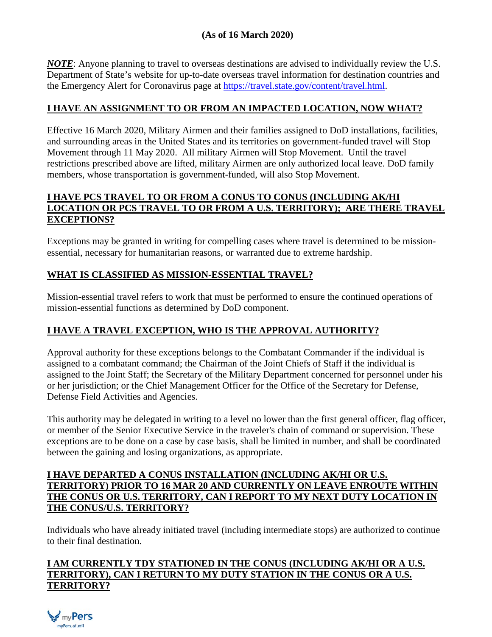## **(As of 16 March 2020)**

*NOTE*: Anyone planning to travel to overseas destinations are advised to individually review the U.S. Department of State's website for up-to-date overseas travel information for destination countries and the Emergency Alert for Coronavirus page at [https://travel.state.gov/content/travel.html.](https://travel.state.gov/content/travel.html)

#### <span id="page-5-0"></span>**I HAVE AN ASSIGNMENT TO OR FROM AN IMPACTED LOCATION, NOW WHAT?**

Effective 16 March 2020, Military Airmen and their families assigned to DoD installations, facilities, and surrounding areas in the United States and its territories on government-funded travel will Stop Movement through 11 May 2020. All military Airmen will Stop Movement. Until the travel restrictions prescribed above are lifted, military Airmen are only authorized local leave. DoD family members, whose transportation is government-funded, will also Stop Movement.

#### <span id="page-5-1"></span>**I HAVE PCS TRAVEL TO OR FROM A CONUS TO CONUS (INCLUDING AK/HI LOCATION OR PCS TRAVEL TO OR FROM A U.S. TERRITORY); ARE THERE TRAVEL EXCEPTIONS?**

Exceptions may be granted in writing for compelling cases where travel is determined to be missionessential, necessary for humanitarian reasons, or warranted due to extreme hardship.

## <span id="page-5-2"></span>**WHAT IS CLASSIFIED AS MISSION-ESSENTIAL TRAVEL?**

Mission-essential travel refers to work that must be performed to ensure the continued operations of mission-essential functions as determined by DoD component.

## <span id="page-5-3"></span>**I HAVE A TRAVEL EXCEPTION, WHO IS THE APPROVAL AUTHORITY?**

Approval authority for these exceptions belongs to the Combatant Commander if the individual is assigned to a combatant command; the Chairman of the Joint Chiefs of Staff if the individual is assigned to the Joint Staff; the Secretary of the Military Department concerned for personnel under his or her jurisdiction; or the Chief Management Officer for the Office of the Secretary for Defense, Defense Field Activities and Agencies.

This authority may be delegated in writing to a level no lower than the first general officer, flag officer, or member of the Senior Executive Service in the traveler's chain of command or supervision. These exceptions are to be done on a case by case basis, shall be limited in number, and shall be coordinated between the gaining and losing organizations, as appropriate.

#### <span id="page-5-4"></span>**I HAVE DEPARTED A CONUS INSTALLATION (INCLUDING AK/HI OR U.S. TERRITORY) PRIOR TO 16 MAR 20 AND CURRENTLY ON LEAVE ENROUTE WITHIN THE CONUS OR U.S. TERRITORY, CAN I REPORT TO MY NEXT DUTY LOCATION IN THE CONUS/U.S. TERRITORY?**

Individuals who have already initiated travel (including intermediate stops) are authorized to continue to their final destination.

#### <span id="page-5-5"></span>**I AM CURRENTLY TDY STATIONED IN THE CONUS (INCLUDING AK/HI OR A U.S. TERRITORY), CAN I RETURN TO MY DUTY STATION IN THE CONUS OR A U.S. TERRITORY?**

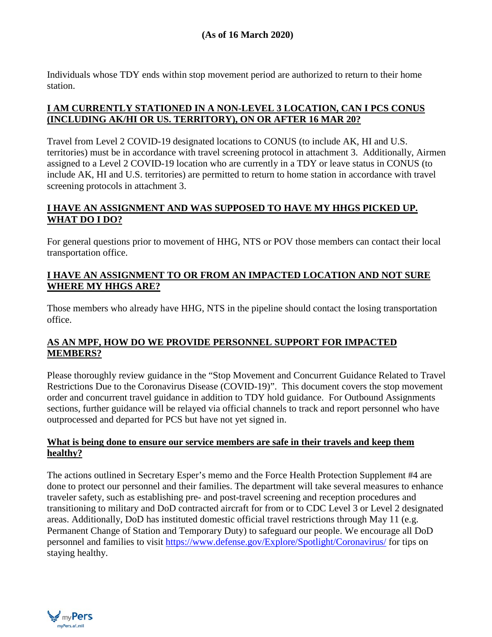Individuals whose TDY ends within stop movement period are authorized to return to their home station.

## <span id="page-6-3"></span>**I AM CURRENTLY STATIONED IN A NON-LEVEL 3 LOCATION, CAN I PCS CONUS (INCLUDING AK/HI OR US. TERRITORY), ON OR AFTER 16 MAR 20?**

<span id="page-6-0"></span>Travel from Level 2 COVID-19 designated locations to CONUS (to include AK, HI and U.S. territories) must be in accordance with travel screening protocol in attachment 3. Additionally, Airmen assigned to a Level 2 COVID-19 location who are currently in a TDY or leave status in CONUS (to include AK, HI and U.S. territories) are permitted to return to home station in accordance with travel screening protocols in attachment 3.

## **I HAVE AN ASSIGNMENT AND WAS SUPPOSED TO HAVE MY HHGS PICKED UP. WHAT DO I DO?**

For general questions prior to movement of HHG, NTS or POV those members can contact their local transportation office.

#### <span id="page-6-1"></span>**I HAVE AN ASSIGNMENT TO OR FROM AN IMPACTED LOCATION AND NOT SURE WHERE MY HHGS ARE?**

Those members who already have HHG, NTS in the pipeline should contact the losing transportation office.

## <span id="page-6-2"></span>**AS AN MPF, HOW DO WE PROVIDE PERSONNEL SUPPORT FOR IMPACTED MEMBERS?**

Please thoroughly review guidance in the "Stop Movement and Concurrent Guidance Related to Travel Restrictions Due to the Coronavirus Disease (COVID-19)". This document covers the stop movement order and concurrent travel guidance in addition to TDY hold guidance. For Outbound Assignments sections, further guidance will be relayed via official channels to track and report personnel who have outprocessed and departed for PCS but have not yet signed in.

#### <span id="page-6-4"></span>**What is being done to ensure our service members are safe in their travels and keep them healthy?**

The actions outlined in Secretary Esper's memo and the Force Health Protection Supplement #4 are done to protect our personnel and their families. The department will take several measures to enhance traveler safety, such as establishing pre- and post-travel screening and reception procedures and transitioning to military and DoD contracted aircraft for from or to CDC Level 3 or Level 2 designated areas. Additionally, DoD has instituted domestic official travel restrictions through May 11 (e.g. Permanent Change of Station and Temporary Duty) to safeguard our people. We encourage all DoD personnel and families to visit<https://www.defense.gov/Explore/Spotlight/Coronavirus/> for tips on staying healthy.